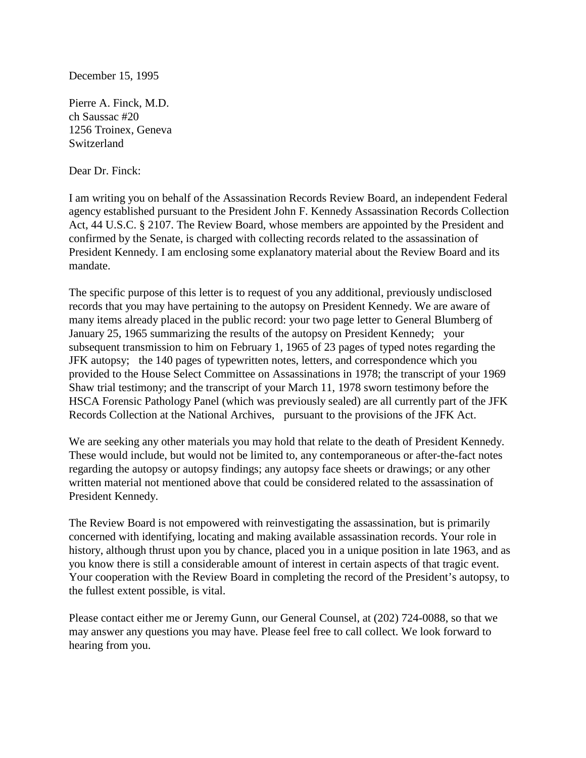## December 15, 1995

Pierre A. Finck, M.D. ch Saussac #20 1256 Troinex, Geneva Switzerland

Dear Dr. Finck:

I am writing you on behalf of the Assassination Records Review Board, an independent Federal agency established pursuant to the President John F. Kennedy Assassination Records Collection Act, 44 U.S.C. § 2107. The Review Board, whose members are appointed by the President and confirmed by the Senate, is charged with collecting records related to the assassination of President Kennedy. I am enclosing some explanatory material about the Review Board and its mandate.

The specific purpose of this letter is to request of you any additional, previously undisclosed records that you may have pertaining to the autopsy on President Kennedy. We are aware of many items already placed in the public record: your two page letter to General Blumberg of January 25, 1965 summarizing the results of the autopsy on President Kennedy; your subsequent transmission to him on February 1, 1965 of 23 pages of typed notes regarding the JFK autopsy; the 140 pages of typewritten notes, letters, and correspondence which you provided to the House Select Committee on Assassinations in 1978; the transcript of your 1969 Shaw trial testimony; and the transcript of your March 11, 1978 sworn testimony before the HSCA Forensic Pathology Panel (which was previously sealed) are all currently part of the JFK Records Collection at the National Archives, pursuant to the provisions of the JFK Act.

We are seeking any other materials you may hold that relate to the death of President Kennedy. These would include, but would not be limited to, any contemporaneous or after-the-fact notes regarding the autopsy or autopsy findings; any autopsy face sheets or drawings; or any other written material not mentioned above that could be considered related to the assassination of President Kennedy.

The Review Board is not empowered with reinvestigating the assassination, but is primarily concerned with identifying, locating and making available assassination records. Your role in history, although thrust upon you by chance, placed you in a unique position in late 1963, and as you know there is still a considerable amount of interest in certain aspects of that tragic event. Your cooperation with the Review Board in completing the record of the President's autopsy, to the fullest extent possible, is vital.

Please contact either me or Jeremy Gunn, our General Counsel, at (202) 724-0088, so that we may answer any questions you may have. Please feel free to call collect. We look forward to hearing from you.